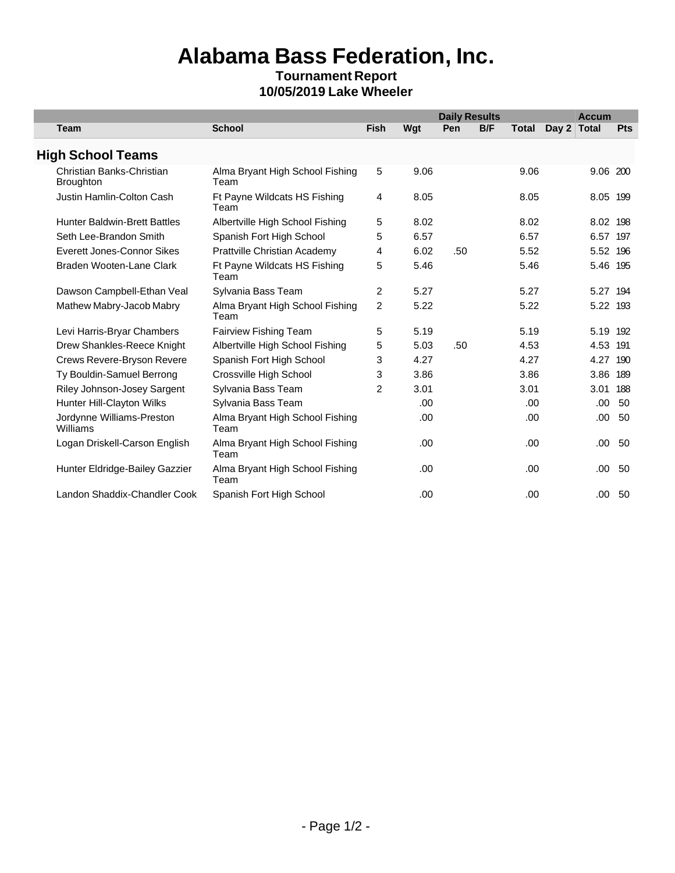## **Alabama Bass Federation, Inc.**

## **Tournament Report 10/05/2019 Lake Wheeler**

|                                               |                                         |                |      |     | <b>Daily Results</b> |       |             | <b>Accum</b> |            |
|-----------------------------------------------|-----------------------------------------|----------------|------|-----|----------------------|-------|-------------|--------------|------------|
| <b>Team</b>                                   | <b>School</b>                           | <b>Fish</b>    | Wgt  | Pen | <b>B/F</b>           | Total | Day 2 Total |              | <b>Pts</b> |
| <b>High School Teams</b>                      |                                         |                |      |     |                      |       |             |              |            |
| Christian Banks-Christian<br><b>Broughton</b> | Alma Bryant High School Fishing<br>Team | 5              | 9.06 |     |                      | 9.06  |             | 9.06 200     |            |
| Justin Hamlin-Colton Cash                     | Ft Payne Wildcats HS Fishing<br>Team    | 4              | 8.05 |     |                      | 8.05  |             | 8.05 199     |            |
| <b>Hunter Baldwin-Brett Battles</b>           | Albertville High School Fishing         | 5              | 8.02 |     |                      | 8.02  |             | 8.02 198     |            |
| Seth Lee-Brandon Smith                        | Spanish Fort High School                | 5              | 6.57 |     |                      | 6.57  |             | 6.57 197     |            |
| Everett Jones-Connor Sikes                    | Prattville Christian Academy            | 4              | 6.02 | .50 |                      | 5.52  |             | 5.52 196     |            |
| Braden Wooten-Lane Clark                      | Ft Payne Wildcats HS Fishing<br>Team    | 5              | 5.46 |     |                      | 5.46  |             | 5.46 195     |            |
| Dawson Campbell-Ethan Veal                    | Sylvania Bass Team                      | $\overline{2}$ | 5.27 |     |                      | 5.27  |             | 5.27 194     |            |
| Mathew Mabry-Jacob Mabry                      | Alma Bryant High School Fishing<br>Team | $\overline{c}$ | 5.22 |     |                      | 5.22  |             | 5.22 193     |            |
| Levi Harris-Bryar Chambers                    | Fairview Fishing Team                   | 5              | 5.19 |     |                      | 5.19  |             | 5.19 192     |            |
| Drew Shankles-Reece Knight                    | Albertville High School Fishing         | 5              | 5.03 | .50 |                      | 4.53  |             | 4.53 191     |            |
| Crews Revere-Bryson Revere                    | Spanish Fort High School                | 3              | 4.27 |     |                      | 4.27  |             | 4.27         | 190        |
| Ty Bouldin-Samuel Berrong                     | Crossville High School                  | 3              | 3.86 |     |                      | 3.86  |             | 3.86 189     |            |
| Riley Johnson-Josey Sargent                   | Sylvania Bass Team                      | 2              | 3.01 |     |                      | 3.01  |             | 3.01 188     |            |
| Hunter Hill-Clayton Wilks                     | Sylvania Bass Team                      |                | .00. |     |                      | .00   |             | .00.         | 50         |
| Jordynne Williams-Preston<br>Williams         | Alma Bryant High School Fishing<br>Team |                | .00  |     |                      | .00.  |             | .00.         | 50         |
| Logan Driskell-Carson English                 | Alma Bryant High School Fishing<br>Team |                | .00. |     |                      | .00.  |             | .00          | 50         |
| Hunter Eldridge-Bailey Gazzier                | Alma Bryant High School Fishing<br>Team |                | .00. |     |                      | .00.  |             | .00          | -50        |
| Landon Shaddix-Chandler Cook                  | Spanish Fort High School                |                | .00. |     |                      | .00   |             | .00          | 50         |